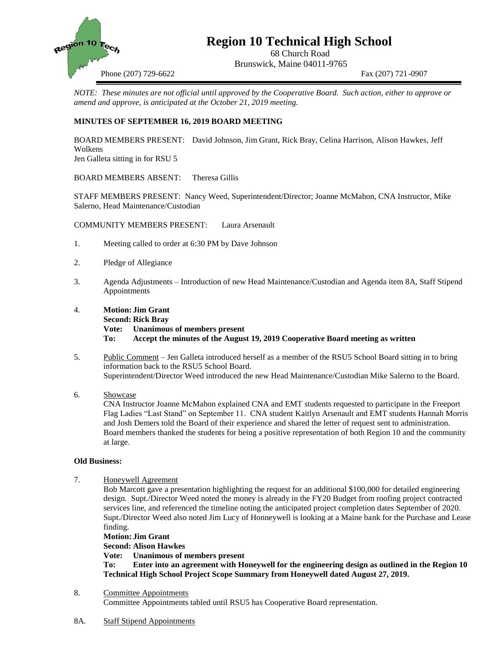

# **Region 10 Technical High School**

68 Church Road Brunswick, Maine 04011-9765

Phone (207) 729-6622 Fax (207) 721-0907

*NOTE: These minutes are not official until approved by the Cooperative Board. Such action, either to approve or amend and approve, is anticipated at the October 21, 2019 meeting.*

### **MINUTES OF SEPTEMBER 16, 2019 BOARD MEETING**

BOARD MEMBERS PRESENT: David Johnson, Jim Grant, Rick Bray, Celina Harrison, Alison Hawkes, Jeff Wolkens

Jen Galleta sitting in for RSU 5

BOARD MEMBERS ABSENT: Theresa Gillis

STAFF MEMBERS PRESENT: Nancy Weed, Superintendent/Director; Joanne McMahon, CNA Instructor, Mike Salerno, Head Maintenance/Custodian

COMMUNITY MEMBERS PRESENT: Laura Arsenault

- 1. Meeting called to order at 6:30 PM by Dave Johnson
- 2. Pledge of Allegiance
- 3. Agenda Adjustments Introduction of new Head Maintenance/Custodian and Agenda item 8A, Staff Stipend Appointments
- 4. **Motion: Jim Grant Second: Rick Bray Vote: Unanimous of members present To: Accept the minutes of the August 19, 2019 Cooperative Board meeting as written**
- 5. Public Comment Jen Galleta introduced herself as a member of the RSU5 School Board sitting in to bring information back to the RSU5 School Board. Superintendent/Director Weed introduced the new Head Maintenance/Custodian Mike Salerno to the Board.
- 6. Showcase CNA Instructor Joanne McMahon explained CNA and EMT students requested to participate in the Freeport Flag Ladies "Last Stand" on September 11. CNA student Kaitlyn Arsenault and EMT students Hannah Morris and Josh Demers told the Board of their experience and shared the letter of request sent to administration. Board members thanked the students for being a positive representation of both Region 10 and the community at large.

#### **Old Business:**

7. Honeywell Agreement

Bob Marcott gave a presentation highlighting the request for an additional \$100,000 for detailed engineering design. Supt./Director Weed noted the money is already in the FY20 Budget from roofing project contracted services line, and referenced the timeline noting the anticipated project completion dates September of 2020. Supt./Director Weed also noted Jim Lucy of Honneywell is looking at a Maine bank for the Purchase and Lease finding.

#### **Motion: Jim Grant Second: Alison Hawkes**

## **Vote: Unanimous of members present**

**To: Enter into an agreement with Honeywell for the engineering design as outlined in the Region 10 Technical High School Project Scope Summary from Honeywell dated August 27, 2019.**

- 8. Committee Appointments Committee Appointments tabled until RSU5 has Cooperative Board representation.
- 8A. Staff Stipend Appointments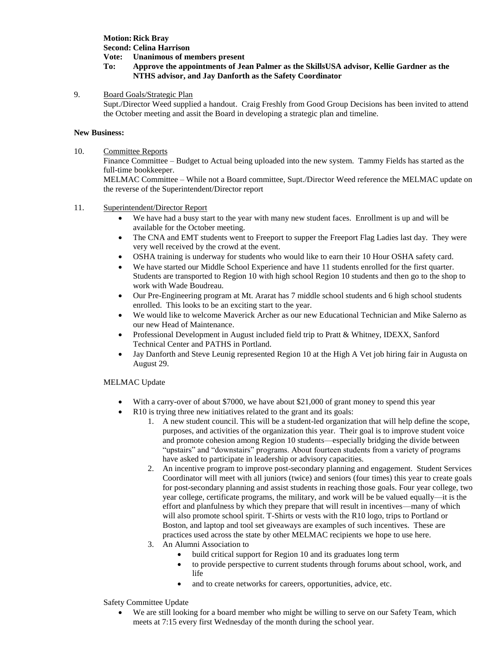# **Motion: Rick Bray Second: Celina Harrison**

### **Vote: Unanimous of members present**

## **To: Approve the appointments of Jean Palmer as the SkillsUSA advisor, Kellie Gardner as the NTHS advisor, and Jay Danforth as the Safety Coordinator**

9. Board Goals/Strategic Plan

Supt./Director Weed supplied a handout. Craig Freshly from Good Group Decisions has been invited to attend the October meeting and assit the Board in developing a strategic plan and timeline.

#### **New Business:**

10. Committee Reports

Finance Committee – Budget to Actual being uploaded into the new system. Tammy Fields has started as the full-time bookkeeper.

MELMAC Committee – While not a Board committee, Supt./Director Weed reference the MELMAC update on the reverse of the Superintendent/Director report

#### 11. Superintendent/Director Report

- We have had a busy start to the year with many new student faces. Enrollment is up and will be available for the October meeting.
- The CNA and EMT students went to Freeport to supper the Freeport Flag Ladies last day. They were very well received by the crowd at the event.
- OSHA training is underway for students who would like to earn their 10 Hour OSHA safety card.
- We have started our Middle School Experience and have 11 students enrolled for the first quarter. Students are transported to Region 10 with high school Region 10 students and then go to the shop to work with Wade Boudreau.
- Our Pre-Engineering program at Mt. Ararat has 7 middle school students and 6 high school students enrolled. This looks to be an exciting start to the year.
- We would like to welcome Maverick Archer as our new Educational Technician and Mike Salerno as our new Head of Maintenance.
- Professional Development in August included field trip to Pratt & Whitney, IDEXX, Sanford Technical Center and PATHS in Portland.
- Jay Danforth and Steve Leunig represented Region 10 at the High A Vet job hiring fair in Augusta on August 29.

### MELMAC Update

- With a carry-over of about \$7000, we have about \$21,000 of grant money to spend this year
- R10 is trying three new initiatives related to the grant and its goals:
	- 1. A new student council. This will be a student-led organization that will help define the scope, purposes, and activities of the organization this year. Their goal is to improve student voice and promote cohesion among Region 10 students—especially bridging the divide between "upstairs" and "downstairs" programs. About fourteen students from a variety of programs have asked to participate in leadership or advisory capacities.
	- 2. An incentive program to improve post-secondary planning and engagement. Student Services Coordinator will meet with all juniors (twice) and seniors (four times) this year to create goals for post-secondary planning and assist students in reaching those goals. Four year college, two year college, certificate programs, the military, and work will be be valued equally—it is the effort and planfulness by which they prepare that will result in incentives—many of which will also promote school spirit. T-Shirts or vests with the R10 logo, trips to Portland or Boston, and laptop and tool set giveaways are examples of such incentives. These are practices used across the state by other MELMAC recipients we hope to use here.
	- 3. An Alumni Association to
		- build critical support for Region 10 and its graduates long term
		- to provide perspective to current students through forums about school, work, and life
		- and to create networks for careers, opportunities, advice, etc.

Safety Committee Update

 We are still looking for a board member who might be willing to serve on our Safety Team, which meets at 7:15 every first Wednesday of the month during the school year.